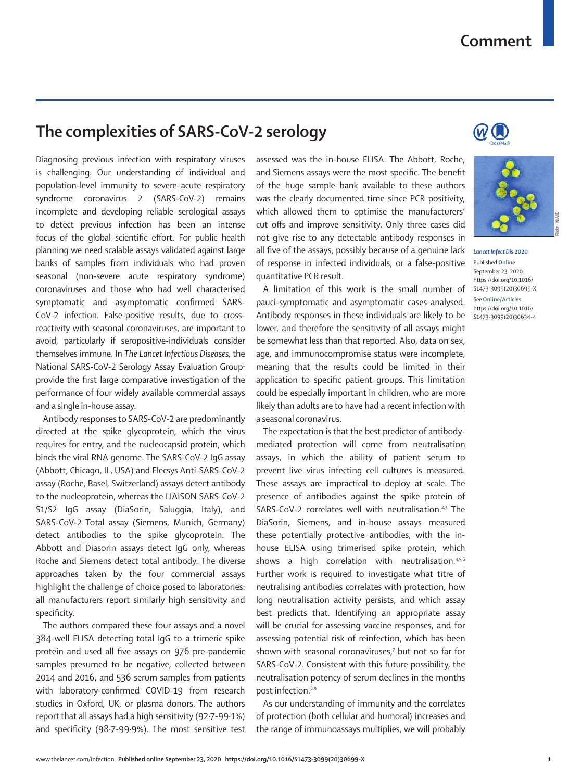## **Comment**

## **The complexities of SARS-CoV-2 serology**

Diagnosing previous infection with respiratory viruses is challenging. Our understanding of individual and population-level immunity to severe acute respiratory syndrome coronavirus 2 (SARS-CoV-2) remains incomplete and developing reliable serological assays to detect previous infection has been an intense focus of the global scientific effort. For public health planning we need scalable assays validated against large banks of samples from individuals who had proven seasonal (non-severe acute respiratory syndrome) coronaviruses and those who had well characterised symptomatic and asymptomatic confirmed SARS-CoV-2 infection. False-positive results, due to crossreactivity with seasonal coronaviruses, are important to avoid, particularly if seropositive-individuals consider themselves immune. In *The Lancet Infectious Diseases,* the National SARS-CoV-2 Serology Assay Evaluation Group<sup>1</sup> provide the first large comparative investigation of the performance of four widely available commercial assays and a single in-house assay.

Antibody responses to SARS-CoV-2 are predominantly directed at the spike glycoprotein, which the virus requires for entry, and the nucleocapsid protein, which binds the viral RNA genome. The SARS-CoV-2 IgG assay (Abbott, Chicago, IL, USA) and Elecsys Anti-SARS-CoV-2 assay (Roche, Basel, Switzerland) assays detect antibody to the nucleoprotein, whereas the LIAISON SARS-CoV-2 S1/S2 IgG assay (DiaSorin, Saluggia, Italy), and SARS-CoV-2 Total assay (Siemens, Munich, Germany) detect antibodies to the spike glycoprotein. The Abbott and Diasorin assays detect IgG only, whereas Roche and Siemens detect total antibody. The diverse approaches taken by the four commercial assays highlight the challenge of choice posed to laboratories: all manufacturers report similarly high sensitivity and specificity.

The authors compared these four assays and a novel 384-well ELISA detecting total IgG to a trimeric spike protein and used all five assays on 976 pre-pandemic samples presumed to be negative, collected between 2014 and 2016, and 536 serum samples from patients with laboratory-confirmed COVID-19 from research studies in Oxford, UK, or plasma donors. The authors report that all assays had a high sensitivity (92·7-99·1%) and specificity (98·7-99·9%). The most sensitive test assessed was the in-house ELISA. The Abbott, Roche, and Siemens assays were the most specific. The benefit of the huge sample bank available to these authors was the clearly documented time since PCR positivity, which allowed them to optimise the manufacturers' cut offs and improve sensitivity. Only three cases did not give rise to any detectable antibody responses in all five of the assays, possibly because of a genuine lack of response in infected individuals, or a false-positive quantitative PCR result.

A limitation of this work is the small number of pauci-symptomatic and asymptomatic cases analysed. Antibody responses in these individuals are likely to be lower, and therefore the sensitivity of all assays might be somewhat less than that reported. Also, data on sex, age, and immunocompromise status were incomplete, meaning that the results could be limited in their application to specific patient groups. This limitation could be especially important in children, who are more likely than adults are to have had a recent infection with a seasonal coronavirus.

The expectation is that the best predictor of antibodymediated protection will come from neutralisation assays, in which the ability of patient serum to prevent live virus infecting cell cultures is measured. These assays are impractical to deploy at scale. The presence of antibodies against the spike protein of SARS-CoV-2 correlates well with neutralisation.<sup>2,3</sup> The DiaSorin, Siemens, and in-house assays measured these potentially protective antibodies, with the inhouse ELISA using trimerised spike protein, which shows a high correlation with neutralisation.<sup>4,5,6</sup> Further work is required to investigate what titre of neutralising antibodies correlates with protection, how long neutralisation activity persists, and which assay best predicts that. Identifying an appropriate assay will be crucial for assessing vaccine responses, and for assessing potential risk of reinfection, which has been shown with seasonal coronaviruses,<sup>7</sup> but not so far for SARS-CoV-2. Consistent with this future possibility, the neutralisation potency of serum declines in the months post infection.8,9

As our understanding of immunity and the correlates of protection (both cellular and humoral) increases and the range of immunoassays multiplies, we will probably





*Lancet Infect Dis* **2020**

Published **Online** September 23, 2020 https://doi.org/10.1016/ S1473-3099(20)30699-X

See**Online/Articles** https://doi.org/10.1016/ S1473-3099(20)30634-4